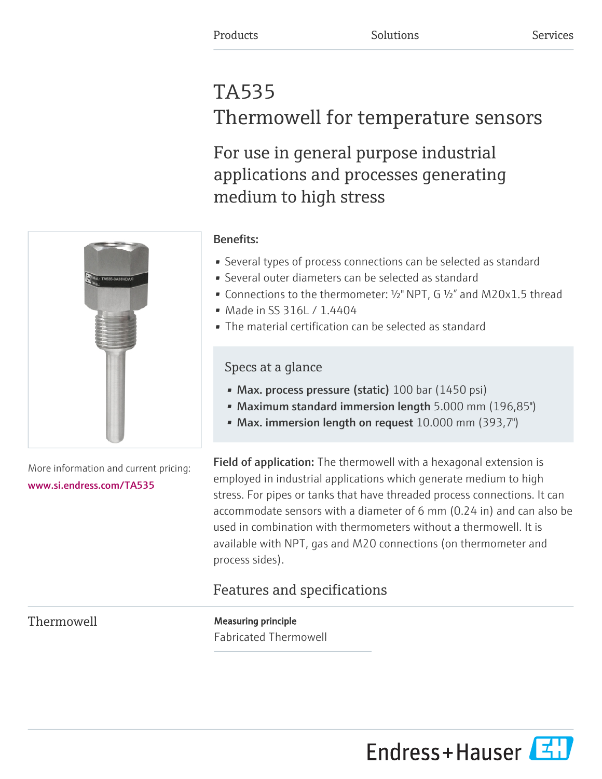# TA535 Thermowell for temperature sensors

For use in general purpose industrial applications and processes generating medium to high stress



More information and current pricing: [www.si.endress.com/TA535](https://www.si.endress.com/TA535)

# Benefits:

- Several types of process connections can be selected as standard
- Several outer diameters can be selected as standard
- Connections to the thermometer: ½" NPT, G ½" and M20x1.5 thread
- Made in SS 316L / 1.4404
- The material certification can be selected as standard

# Specs at a glance

- Max. process pressure (static) 100 bar (1450 psi)
- Maximum standard immersion length 5.000 mm (196,85")
- Max. immersion length on request 10.000 mm (393,7")

Field of application: The thermowell with a hexagonal extension is employed in industrial applications which generate medium to high stress. For pipes or tanks that have threaded process connections. It can accommodate sensors with a diameter of 6 mm (0.24 in) and can also be used in combination with thermometers without a thermowell. It is available with NPT, gas and M20 connections (on thermometer and process sides).

# Features and specifications

Thermowell **Measuring principle** Fabricated Thermowell

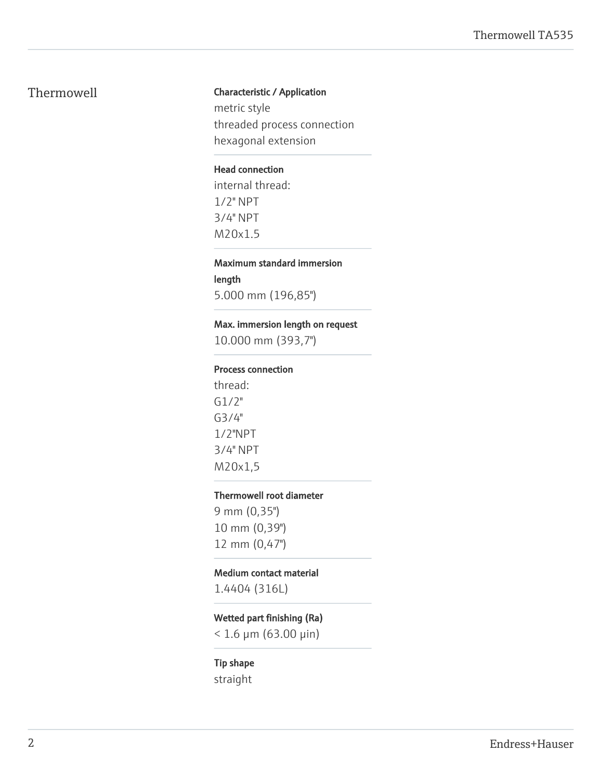#### Thermowell **Characteristic / Application**

metric style threaded process connection hexagonal extension

#### Head connection

internal thread: 1/2" NPT 3/4" NPT M20x1.5

# Maximum standard immersion length

5.000 mm (196,85")

#### Max. immersion length on request

10.000 mm (393,7")

#### Process connection

thread: G1/2" G3/4" 1/2"NPT 3/4" NPT M20x1,5

#### Thermowell root diameter

9 mm (0,35") 10 mm (0,39") 12 mm (0,47")

#### Medium contact material

1.4404 (316L)

## Wetted part finishing (Ra)

 $< 1.6 \mu m (63.00 \mu m)$ 

### Tip shape

straight